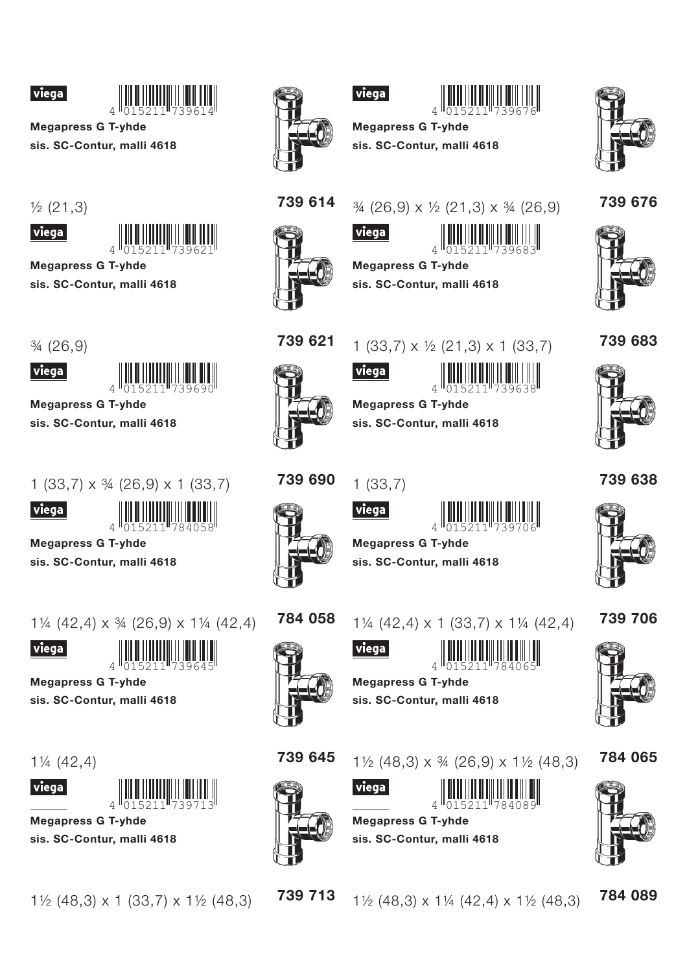



**Megapress G T-yhde** sis. SC-Contur, malli 4618





**Megapress G T-yhde** 

sis. SC-Contur, malli 4618

 $\frac{3}{4}$  (26,9)



**Megapress G T-yhde** 

sis. SC-Contur, malli 4618

 $1(33,7) \times 34(26,9) \times 1(33,7)$ 



**Megapress G T-yhde** 

sis. SC-Contur, malli 4618

 $1\frac{1}{4}$  (42,4) x  $\frac{3}{4}$  (26,9) x  $1\frac{1}{4}$  (42,4)



**Megapress G T-vhde** 

sis. SC-Contur, malli 4618

 $1\frac{1}{4}$  (42,4)





**Megapress G T-yhde** sis. SC-Contur, malli 4618

 $1\frac{1}{2}$  (48,3) x 1 (33,7) x 1 $\frac{1}{2}$  (48,3)



# viega



**Megapress G T-yhde** sis. SC-Contur, malli 4618







739 614

# $\frac{3}{4}$  (26,9) x  $\frac{1}{2}$  (21,3) x  $\frac{3}{4}$  (26,9)



sis. SC-Contur, malli 4618



#### 739 683



739 621

1  $(33,7) \times \frac{1}{2} (21,3) \times 1 (33,7)$ 





**Megapress G T-yhde** sis. SC-Contur, malli 4618









**Megapress G T-yhde** sis. SC-Contur, malli 4618

739 706



784 058

 $1\frac{1}{4}$  (42,4) x 1 (33,7) x 1 $\frac{1}{4}$  (42,4)





**Megapress G T-vhde** sis. SC-Contur, malli 4618



739 645

viega



739 713

 $1\frac{1}{2}$  (48.3) x  $\frac{3}{4}$  (26.9) x  $1\frac{1}{2}$  (48.3)



**Megapress G T-yhde** sis. SC-Contur, malli 4618



784 065



784 089